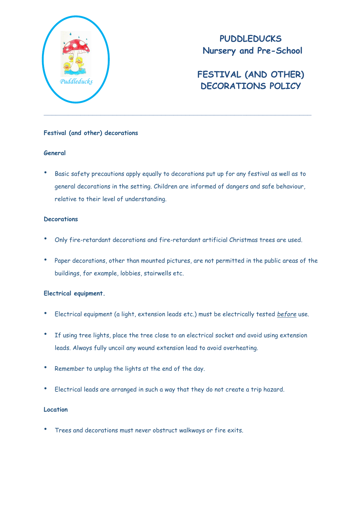

**PUDDLEDUCKS Nursery and Pre-School**

# **FESTIVAL (AND OTHER) DECORATIONS POLICY** *Puddleducks*

#### **Festival (and other) decorations**

#### **General**

• Basic safety precautions apply equally to decorations put up for any festival as well as to general decorations in the setting. Children are informed of dangers and safe behaviour, relative to their level of understanding.

#### **Decorations**

- Only fire-retardant decorations and fire-retardant artificial Christmas trees are used.
- Paper decorations, other than mounted pictures, are not permitted in the public areas of the buildings, for example, lobbies, stairwells etc.

### **Electrical equipment.**

- Electrical equipment (a light, extension leads etc.) must be electrically tested *before* use.
- If using tree lights, place the tree close to an electrical socket and avoid using extension leads. Always fully uncoil any wound extension lead to avoid overheating.
- Remember to unplug the lights at the end of the day.
- Electrical leads are arranged in such a way that they do not create a trip hazard.

#### **Location**

• Trees and decorations must never obstruct walkways or fire exits.